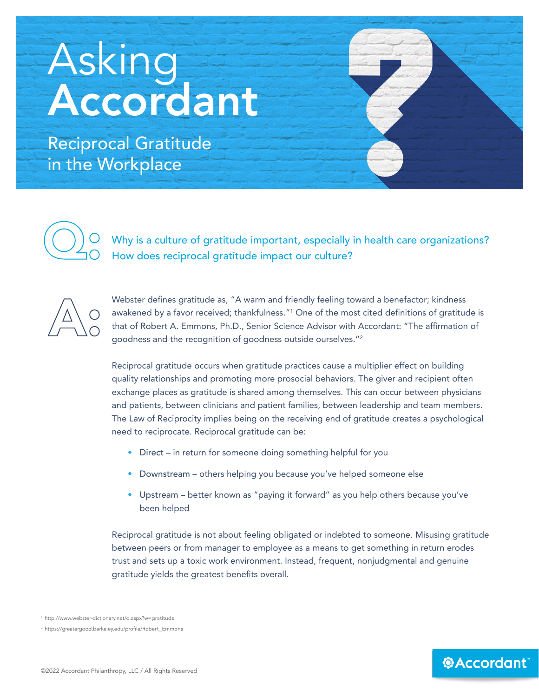## Asking **Accordant**

Reciprocal Gratitude in the Workplace



Why is a culture of gratitude important, especially in health care organizations? How does reciprocal gratitude impact our culture?



Webster defines gratitude as, "A warm and friendly feeling toward a benefactor; kindness awakened by a favor received; thankfulness."<sup>1</sup> One of the most cited definitions of gratitude is that of Robert A. Emmons, Ph.D., Senior Science Advisor with Accordant: "The affirmation of goodness and the recognition of goodness outside ourselves."<sup>2</sup>

Reciprocal gratitude occurs when gratitude practices cause a multiplier effect on building quality relationships and promoting more prosocial behaviors. The giver and recipient often exchange places as gratitude is shared among themselves. This can occur between physicians and patients, between clinicians and patient families, between leadership and team members. The Law of Reciprocity implies being on the receiving end of gratitude creates a psychological need to reciprocate. Reciprocal gratitude can be:

- Direct in return for someone doing something helpful for you
- Downstream others helping you because you've helped someone else
- Upstream better known as "paying it forward" as you help others because you've been helped

Reciprocal gratitude is not about feeling obligated or indebted to someone. Misusing gratitude between peers or from manager to employee as a means to get something in return erodes trust and sets up a toxic work environment. Instead, frequent, nonjudgmental and genuine gratitude yields the greatest benefits overall.

*<b>@Accordant* 

<sup>1</sup> <http://www.webster-dictionary.net/d.aspx?w=gratitude>

<sup>2</sup> [https://greatergood.berkeley.edu/profile/Robert\\_Emmons](https://greatergood.berkeley.edu/profile/Robert_Emmons)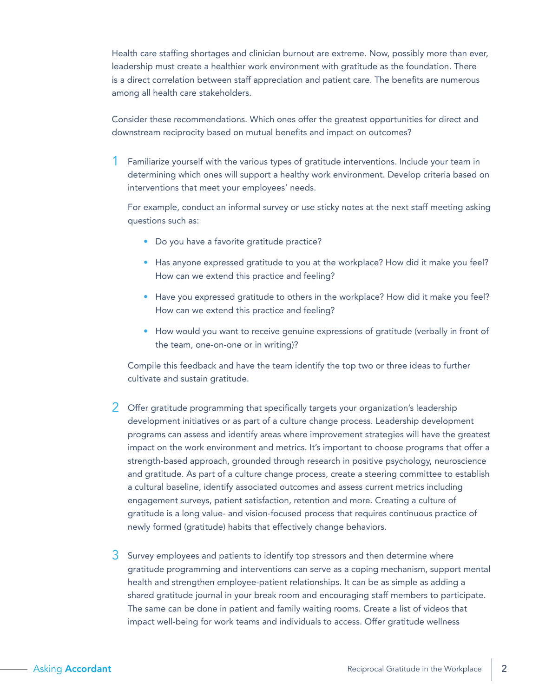Health care staffing shortages and clinician burnout are extreme. Now, possibly more than ever, leadership must create a healthier work environment with gratitude as the foundation. There is a direct correlation between staff appreciation and patient care. The benefits are numerous among all health care stakeholders.

Consider these recommendations. Which ones offer the greatest opportunities for direct and downstream reciprocity based on mutual benefits and impact on outcomes?

1 Familiarize yourself with the various types of gratitude interventions. Include your team in determining which ones will support a healthy work environment. Develop criteria based on interventions that meet your employees' needs.

For example, conduct an informal survey or use sticky notes at the next staff meeting asking questions such as:

- Do you have a favorite gratitude practice?
- Has anyone expressed gratitude to you at the workplace? How did it make you feel? How can we extend this practice and feeling?
- Have you expressed gratitude to others in the workplace? How did it make you feel? How can we extend this practice and feeling?
- How would you want to receive genuine expressions of gratitude (verbally in front of the team, one-on-one or in writing)?

Compile this feedback and have the team identify the top two or three ideas to further cultivate and sustain gratitude.

- 2 Offer gratitude programming that specifically targets your organization's leadership development initiatives or as part of a culture change process. Leadership development programs can assess and identify areas where improvement strategies will have the greatest impact on the work environment and metrics. It's important to choose programs that offer a strength-based approach, grounded through research in positive psychology, neuroscience and gratitude. As part of a culture change process, create a steering committee to establish a cultural baseline, identify associated outcomes and assess current metrics including engagement surveys, patient satisfaction, retention and more. Creating a culture of gratitude is a long value- and vision-focused process that requires continuous practice of newly formed (gratitude) habits that effectively change behaviors.
- $3$  Survey employees and patients to identify top stressors and then determine where gratitude programming and interventions can serve as a coping mechanism, support mental health and strengthen employee-patient relationships. It can be as simple as adding a shared gratitude journal in your break room and encouraging staff members to participate. The same can be done in patient and family waiting rooms. Create a list of videos that impact well-being for work teams and individuals to access. Offer gratitude wellness